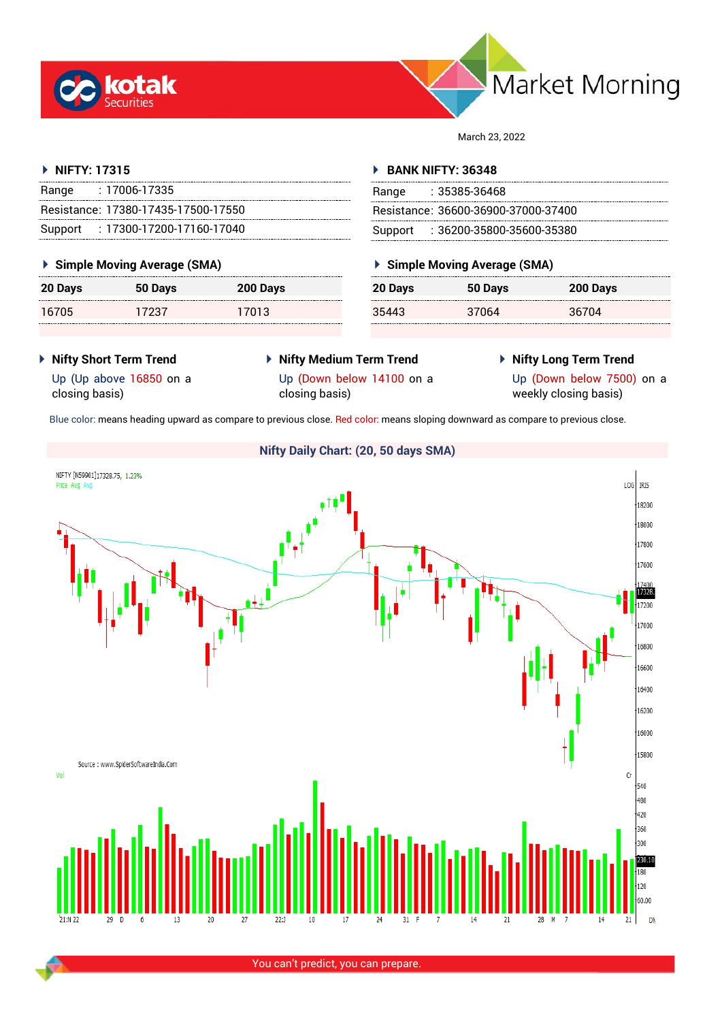



March 23, 2022

# **NIFTY: 17315**

| Range | : 17006-17335                       |
|-------|-------------------------------------|
|       | Resistance: 17380-17435-17500-17550 |
|       | Support: 17300-17200-17160-17040    |

### **Simple Moving Average (SMA)**

| 20 Days | 50 Days | 200 Days |
|---------|---------|----------|
| 16705   | 17237   | 17013    |

### **BANK NIFTY: 36348**

| Range | $: 35385 - 36468$                   |
|-------|-------------------------------------|
|       | Resistance: 36600-36900-37000-37400 |
|       | Support: : 36200-35800-35600-35380  |

### **Simple Moving Average (SMA)**

| 20 Days | 50 Days | 200 Days |
|---------|---------|----------|
| 35443   | 37064   | 36704    |

- **Nifty Short Term Trend** Up (Up above 16850 on a closing basis)
- **Nifty Medium Term Trend** Up (Down below 14100 on a closing basis)
- **Nifty Long Term Trend**

Up (Down below 7500) on a weekly closing basis)

Blue color: means heading upward as compare to previous close. Red color: means sloping downward as compare to previous close.



You can't predict, you can prepare.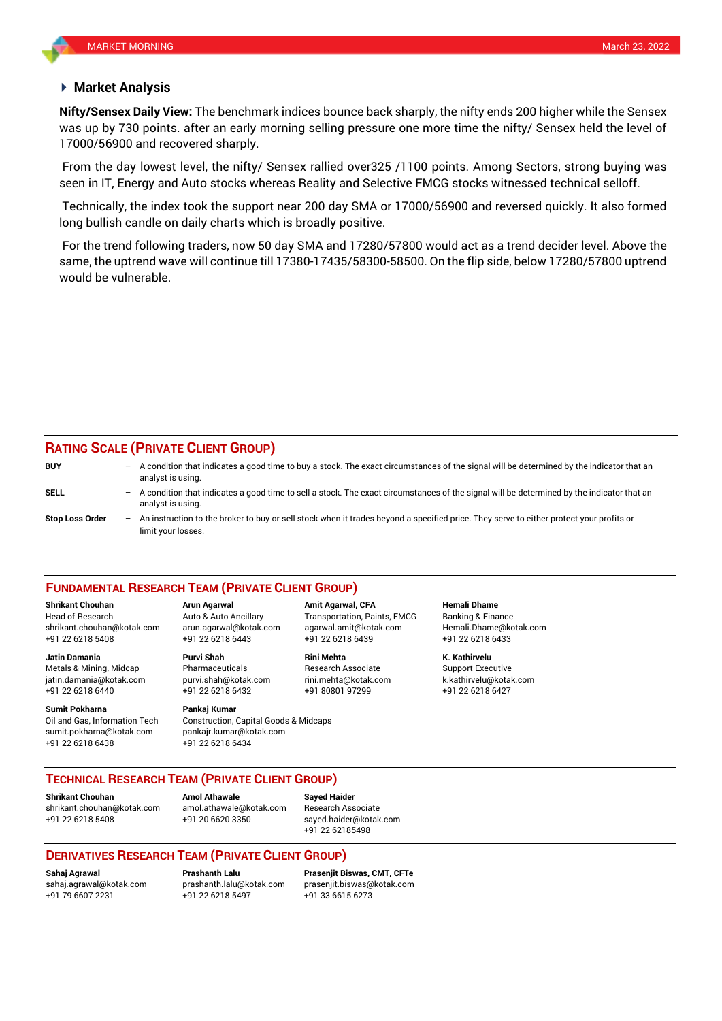### **Market Analysis**

was up by 730 points. after an early morning selling pressure one more time the nifty/ Sensex held the level of **Nifty/Sensex Daily View:** The benchmark indices bounce back sharply, the nifty ends 200 higher while the Sensex 17000/56900 and recovered sharply.

From the day lowest level, the nifty/ Sensex rallied over325 /1100 points. Among Sectors, strong buying was seen in IT, Energy and Auto stocks whereas Reality and Selective FMCG stocks witnessed technical selloff.

Technically, the index took the support near 200 day SMA or 17000/56900 and reversed quickly. It also formed long bullish candle on daily charts which is broadly positive.

For the trend following traders, now 50 day SMA and 17280/57800 would act as a trend decider level. Above the same, the uptrend wave will continue till 17380-17435/58300-58500. On the flip side, below 17280/57800 uptrend would be vulnerable.

# **RATING SCALE (PRIVATE CLIENT GROUP)**

| <b>BUY</b>             |     | $-$ A condition that indicates a good time to buy a stock. The exact circumstances of the signal will be determined by the indicator that an<br>analyst is using. |
|------------------------|-----|-------------------------------------------------------------------------------------------------------------------------------------------------------------------|
| SELL                   | $-$ | A condition that indicates a good time to sell a stock. The exact circumstances of the signal will be determined by the indicator that an<br>analyst is using.    |
| <b>Stop Loss Order</b> |     | An instruction to the broker to buy or sell stock when it trades beyond a specified price. They serve to either protect your profits or<br>limit your losses.     |

### **FUNDAMENTAL RESEARCH TEAM (PRIVATE CLIENT GROUP)**

Head of Research Auto & Auto Ancillary Transportation, Paints, FMCG Banking & Finance [shrikant.chouhan@kotak.com](mailto:shrikant.chouhan@kotak.com) arun.agarwal@kotak.com agarwal.amit@kotak.com Hemali.Dhame@kotak.com

**Jatin Damania Purvi Shah Rini Mehta K. Kathirvelu** Metals & Mining, Midcap **Research Associate** Research Associate Support Executive jatin.damania@kotak.com [purvi.shah@kotak.com](mailto:purvi.shah@kotak.com) rini.mehta@kotak.com [k.kathirvelu@kotak.com](mailto:k.kathirvelu@kotak.com) +91 22 6218 6440 +91 22 6218 6432 +91 80801 97299 +91 22 6218 6427

**Sumit Pokharna** Pankaj Kumar Oil and Gas, Information Tech Construction, Capital Goods & Midcaps sumit.pokharna@kotak.com pankajr.kumar@kotak.com +91 22 6218 6438 +91 22 6218 6434

+91 22 6218 5408 +91 22 6218 6443 +91 22 6218 6439 +91 22 6218 6433

**Shrikant Chouhan Arun Agarwal Amit Agarwal, CFA Hemali Dhame**

### **TECHNICAL RESEARCH TEAM (PRIVATE CLIENT GROUP)**

**Shrikant Chouhan Amol Athawale Sayed Haider**

[shrikant.chouhan@kotak.com](mailto:shrikant.chouhan@kotak.com) [amol.athawale@kotak.com](mailto:amol.athawale@kotak.com) Research Associate +91 22 6218 5408 +91 20 6620 3350 [sayed.haider@kotak.com](mailto:sayed.haider@kotak.com)

+91 22 62185498

# **DERIVATIVES RESEARCH TEAM (PRIVATE CLIENT GROUP)**

+91 22 6218 5497 +91 33 6615 6273

**Sahaj Agrawal Prashanth Lalu Prasenjit Biswas, CMT, CFTe** [sahaj.agrawal@kotak.com](mailto:sahaj.agrawal@kotak.com) [prashanth.lalu@kotak.com](mailto:prashanth.lalu@kotak.com) [prasenjit.biswas@kotak.com](mailto:prasenjit.biswas@kotak.com)